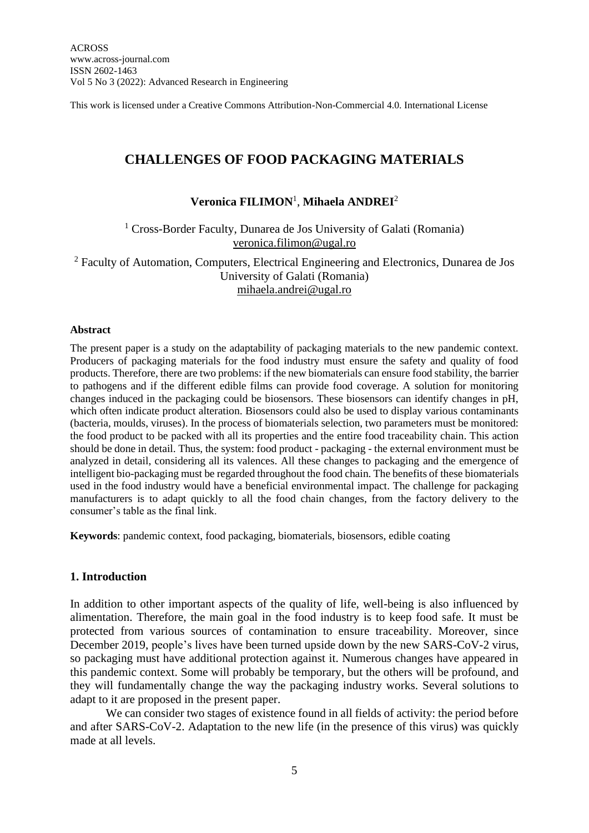This work is licensed under a Creative Commons Attribution-Non-Commercial 4.0. International License

# **CHALLENGES OF FOOD PACKAGING MATERIALS**

# **Veronica FILIMON**<sup>1</sup> , **Mihaela ANDREI**<sup>2</sup>

## <sup>1</sup> Cross-Border Faculty, Dunarea de Jos University of Galati (Romania) [veronica.filimon@ugal.ro](mailto:veronica.filimon@ugal.ro)

<sup>2</sup> Faculty of Automation, Computers, Electrical Engineering and Electronics, Dunarea de Jos University of Galati (Romania) [mihaela.andrei@ugal.ro](mailto:mihaela.andrei@ugal.ro)

#### **Abstract**

The present paper is a study on the adaptability of packaging materials to the new pandemic context. Producers of packaging materials for the food industry must ensure the safety and quality of food products. Therefore, there are two problems: if the new biomaterials can ensure food stability, the barrier to pathogens and if the different edible films can provide food coverage. A solution for monitoring changes induced in the packaging could be biosensors. These biosensors can identify changes in pH, which often indicate product alteration. Biosensors could also be used to display various contaminants (bacteria, moulds, viruses). In the process of biomaterials selection, two parameters must be monitored: the food product to be packed with all its properties and the entire food traceability chain. This action should be done in detail. Thus, the system: food product - packaging - the external environment must be analyzed in detail, considering all its valences. All these changes to packaging and the emergence of intelligent bio-packaging must be regarded throughout the food chain. The benefits of these biomaterials used in the food industry would have a beneficial environmental impact. The challenge for packaging manufacturers is to adapt quickly to all the food chain changes, from the factory delivery to the consumer's table as the final link.

**Keywords**: pandemic context, food packaging, biomaterials, biosensors, edible coating

#### **1. Introduction**

In addition to other important aspects of the quality of life, well-being is also influenced by alimentation. Therefore, the main goal in the food industry is to keep food safe. It must be protected from various sources of contamination to ensure traceability. Moreover, since December 2019, people's lives have been turned upside down by the new SARS-CoV-2 virus, so packaging must have additional protection against it. Numerous changes have appeared in this pandemic context. Some will probably be temporary, but the others will be profound, and they will fundamentally change the way the packaging industry works. Several solutions to adapt to it are proposed in the present paper.

We can consider two stages of existence found in all fields of activity: the period before and after SARS-CoV-2. Adaptation to the new life (in the presence of this virus) was quickly made at all levels.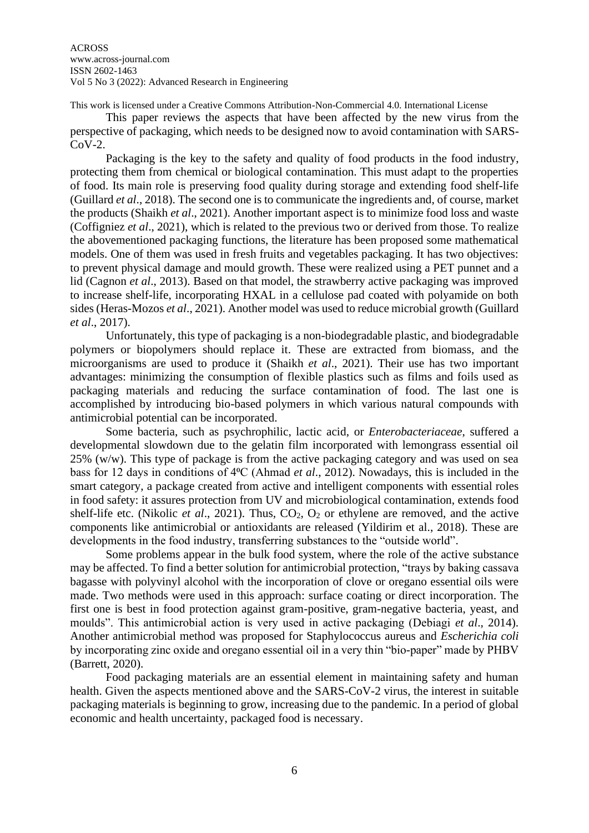ACROSS www.across-journal.com ISSN 2602-1463 Vol 5 No 3 (2022): Advanced Research in Engineering

This work is licensed under a Creative Commons Attribution-Non-Commercial 4.0. International License

This paper reviews the aspects that have been affected by the new virus from the perspective of packaging, which needs to be designed now to avoid contamination with SARS-CoV-2.

Packaging is the key to the safety and quality of food products in the food industry, protecting them from chemical or biological contamination. This must adapt to the properties of food. Its main role is preserving food quality during storage and extending food shelf-life (Guillard *et al*., 2018). The second one is to communicate the ingredients and, of course, market the products (Shaikh *et al*., 2021). Another important aspect is to minimize food loss and waste (Coffigniez *et al*., 2021), which is related to the previous two or derived from those. To realize the abovementioned packaging functions, the literature has been proposed some mathematical models. One of them was used in fresh fruits and vegetables packaging. It has two objectives: to prevent physical damage and mould growth. These were realized using a PET punnet and a lid (Cagnon *et al*., 2013). Based on that model, the strawberry active packaging was improved to increase shelf-life, incorporating HXAL in a cellulose pad coated with polyamide on both sides (Heras-Mozos *et al*., 2021). Another model was used to reduce microbial growth (Guillard *et al*., 2017).

Unfortunately, this type of packaging is a non-biodegradable plastic, and biodegradable polymers or biopolymers should replace it. These are extracted from biomass, and the microorganisms are used to produce it (Shaikh *et al*., 2021). Their use has two important advantages: minimizing the consumption of flexible plastics such as films and foils used as packaging materials and reducing the surface contamination of food. The last one is accomplished by introducing bio-based polymers in which various natural compounds with antimicrobial potential can be incorporated.

Some bacteria, such as psychrophilic, lactic acid, or *Enterobacteriaceae*, suffered a developmental slowdown due to the gelatin film incorporated with lemongrass essential oil 25% (w/w). This type of package is from the active packaging category and was used on sea bass for 12 days in conditions of 4⁰C (Ahmad *et al*., 2012). Nowadays, this is included in the smart category, a package created from active and intelligent components with essential roles in food safety: it assures protection from UV and microbiological contamination, extends food shelf-life etc. (Nikolic *et al.*, 2021). Thus,  $CO_2$ ,  $O_2$  or ethylene are removed, and the active components like antimicrobial or antioxidants are released (Yildirim et al., 2018). These are developments in the food industry, transferring substances to the "outside world".

Some problems appear in the bulk food system, where the role of the active substance may be affected. To find a better solution for antimicrobial protection, "trays by baking cassava bagasse with polyvinyl alcohol with the incorporation of clove or oregano essential oils were made. Two methods were used in this approach: surface coating or direct incorporation. The first one is best in food protection against gram-positive, gram-negative bacteria, yeast, and moulds". This antimicrobial action is very used in active packaging (Debiagi *et al*., 2014). Another antimicrobial method was proposed for Staphylococcus aureus and *Escherichia coli* by incorporating zinc oxide and oregano essential oil in a very thin "bio-paper" made by PHBV (Barrett, 2020).

Food packaging materials are an essential element in maintaining safety and human health. Given the aspects mentioned above and the SARS-CoV-2 virus, the interest in suitable packaging materials is beginning to grow, increasing due to the pandemic. In a period of global economic and health uncertainty, packaged food is necessary.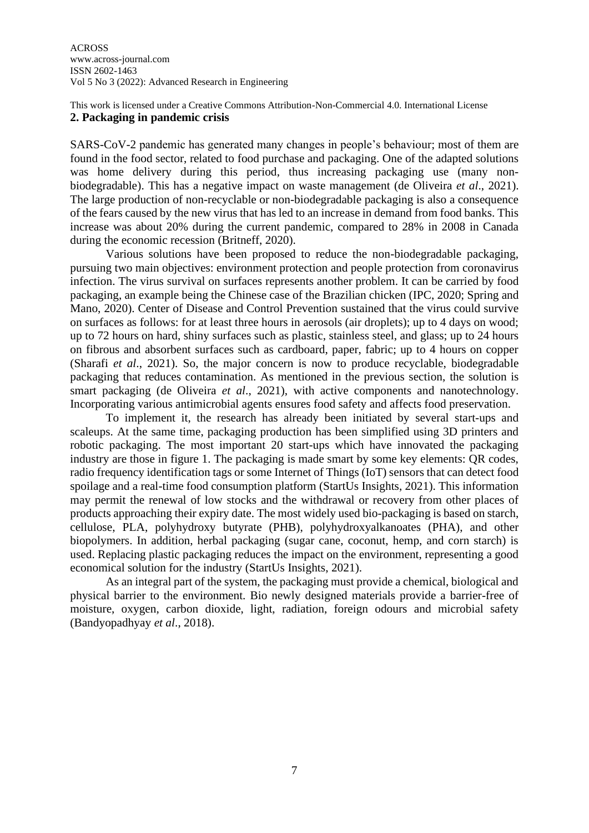#### This work is licensed under a Creative Commons Attribution-Non-Commercial 4.0. International License **2. Packaging in pandemic crisis**

SARS-CoV-2 pandemic has generated many changes in people's behaviour; most of them are found in the food sector, related to food purchase and packaging. One of the adapted solutions was home delivery during this period, thus increasing packaging use (many nonbiodegradable). This has a negative impact on waste management (de Oliveira *et al*., 2021). The large production of non-recyclable or non-biodegradable packaging is also a consequence of the fears caused by the new virus that has led to an increase in demand from food banks. This increase was about 20% during the current pandemic, compared to 28% in 2008 in Canada during the economic recession (Britneff, 2020).

Various solutions have been proposed to reduce the non-biodegradable packaging, pursuing two main objectives: environment protection and people protection from coronavirus infection. The virus survival on surfaces represents another problem. It can be carried by food packaging, an example being the Chinese case of the Brazilian chicken (IPC, 2020; Spring and Mano, 2020). Center of Disease and Control Prevention sustained that the virus could survive on surfaces as follows: for at least three hours in aerosols (air droplets); up to 4 days on wood; up to 72 hours on hard, shiny surfaces such as plastic, stainless steel, and glass; up to 24 hours on fibrous and absorbent surfaces such as cardboard, paper, fabric; up to 4 hours on copper (Sharafi *et al*., 2021). So, the major concern is now to produce recyclable, biodegradable packaging that reduces contamination. As mentioned in the previous section, the solution is smart packaging (de Oliveira *et al*., 2021), with active components and nanotechnology. Incorporating various antimicrobial agents ensures food safety and affects food preservation.

To implement it, the research has already been initiated by several start-ups and scaleups. At the same time, packaging production has been simplified using 3D printers and robotic packaging. The most important 20 start-ups which have innovated the packaging industry are those in figure 1. The packaging is made smart by some key elements: QR codes, radio frequency identification tags or some Internet of Things (IoT) sensors that can detect food spoilage and a real-time food consumption platform (StartUs Insights, 2021). This information may permit the renewal of low stocks and the withdrawal or recovery from other places of products approaching their expiry date. The most widely used bio-packaging is based on starch, cellulose, PLA, polyhydroxy butyrate (PHB), polyhydroxyalkanoates (PHA), and other biopolymers. In addition, herbal packaging (sugar cane, coconut, hemp, and corn starch) is used. Replacing plastic packaging reduces the impact on the environment, representing a good economical solution for the industry (StartUs Insights, 2021).

As an integral part of the system, the packaging must provide a chemical, biological and physical barrier to the environment. Bio newly designed materials provide a barrier-free of moisture, oxygen, carbon dioxide, light, radiation, foreign odours and microbial safety (Bandyopadhyay *et al*., 2018).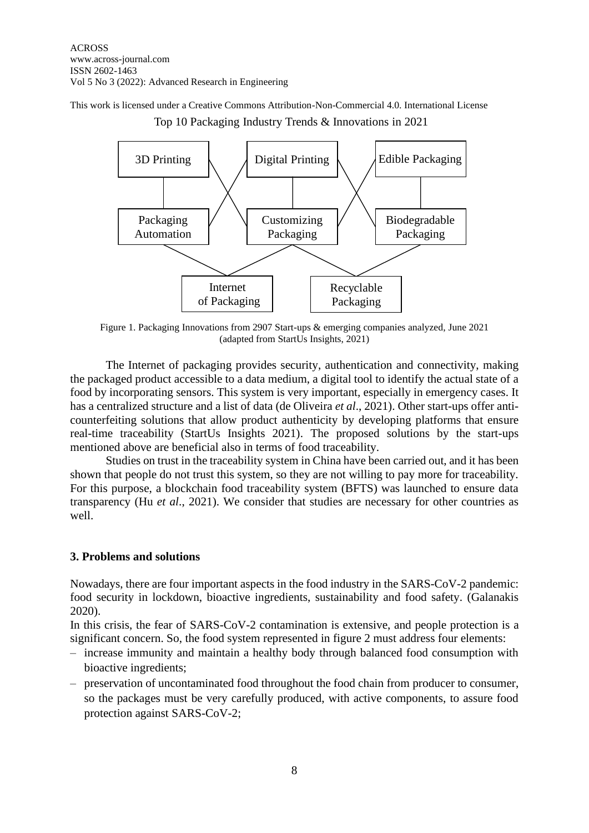This work is licensed under a Creative Commons Attribution-Non-Commercial 4.0. International License Top 10 Packaging Industry Trends & Innovations in 2021



Figure 1. Packaging Innovations from 2907 Start-ups & emerging companies analyzed, June 2021 (adapted from StartUs Insights, 2021)

The Internet of packaging provides security, authentication and connectivity, making the packaged product accessible to a data medium, a digital tool to identify the actual state of a food by incorporating sensors. This system is very important, especially in emergency cases. It has a centralized structure and a list of data (de Oliveira *et al*., 2021). Other start-ups offer anticounterfeiting solutions that allow product authenticity by developing platforms that ensure real-time traceability (StartUs Insights 2021). The proposed solutions by the start-ups mentioned above are beneficial also in terms of food traceability.

Studies on trust in the traceability system in China have been carried out, and it has been shown that people do not trust this system, so they are not willing to pay more for traceability. For this purpose, a blockchain food traceability system (BFTS) was launched to ensure data transparency (Hu *et al*., 2021). We consider that studies are necessary for other countries as well.

### **3. Problems and solutions**

Nowadays, there are four important aspects in the food industry in the SARS-CoV-2 pandemic: food security in lockdown, bioactive ingredients, sustainability and food safety. (Galanakis 2020).

In this crisis, the fear of SARS-CoV-2 contamination is extensive, and people protection is a significant concern. So, the food system represented in figure 2 must address four elements:

- increase immunity and maintain a healthy body through balanced food consumption with bioactive ingredients;
- preservation of uncontaminated food throughout the food chain from producer to consumer, so the packages must be very carefully produced, with active components, to assure food protection against SARS-CoV-2;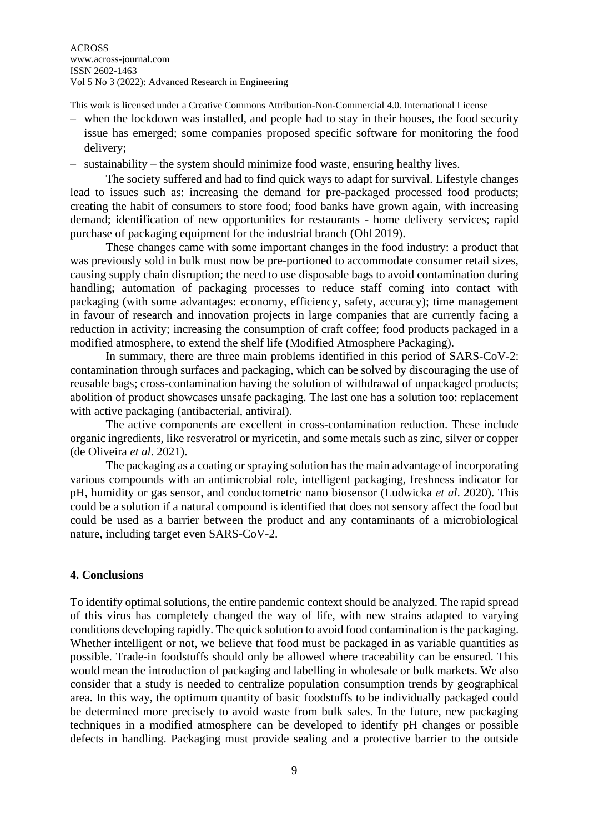This work is licensed under a Creative Commons Attribution-Non-Commercial 4.0. International License

- when the lockdown was installed, and people had to stay in their houses, the food security issue has emerged; some companies proposed specific software for monitoring the food delivery;
- sustainability the system should minimize food waste, ensuring healthy lives.

The society suffered and had to find quick ways to adapt for survival. Lifestyle changes lead to issues such as: increasing the demand for pre-packaged processed food products; creating the habit of consumers to store food; food banks have grown again, with increasing demand; identification of new opportunities for restaurants - home delivery services; rapid purchase of packaging equipment for the industrial branch (Ohl 2019).

These changes came with some important changes in the food industry: a product that was previously sold in bulk must now be pre-portioned to accommodate consumer retail sizes, causing supply chain disruption; the need to use disposable bags to avoid contamination during handling; automation of packaging processes to reduce staff coming into contact with packaging (with some advantages: economy, efficiency, safety, accuracy); time management in favour of research and innovation projects in large companies that are currently facing a reduction in activity; increasing the consumption of craft coffee; food products packaged in a modified atmosphere, to extend the shelf life (Modified Atmosphere Packaging).

In summary, there are three main problems identified in this period of SARS-CoV-2: contamination through surfaces and packaging, which can be solved by discouraging the use of reusable bags; cross-contamination having the solution of withdrawal of unpackaged products; abolition of product showcases unsafe packaging. The last one has a solution too: replacement with active packaging (antibacterial, antiviral).

The active components are excellent in cross-contamination reduction. These include organic ingredients, like resveratrol or myricetin, and some metals such as zinc, silver or copper (de Oliveira *et al*. 2021).

The packaging as a coating or spraying solution has the main advantage of incorporating various compounds with an antimicrobial role, intelligent packaging, freshness indicator for pH, humidity or gas sensor, and conductometric nano biosensor (Ludwicka *et al*. 2020). This could be a solution if a natural compound is identified that does not sensory affect the food but could be used as a barrier between the product and any contaminants of a microbiological nature, including target even SARS-CoV-2.

#### **4. Conclusions**

To identify optimal solutions, the entire pandemic context should be analyzed. The rapid spread of this virus has completely changed the way of life, with new strains adapted to varying conditions developing rapidly. The quick solution to avoid food contamination is the packaging. Whether intelligent or not, we believe that food must be packaged in as variable quantities as possible. Trade-in foodstuffs should only be allowed where traceability can be ensured. This would mean the introduction of packaging and labelling in wholesale or bulk markets. We also consider that a study is needed to centralize population consumption trends by geographical area. In this way, the optimum quantity of basic foodstuffs to be individually packaged could be determined more precisely to avoid waste from bulk sales. In the future, new packaging techniques in a modified atmosphere can be developed to identify pH changes or possible defects in handling. Packaging must provide sealing and a protective barrier to the outside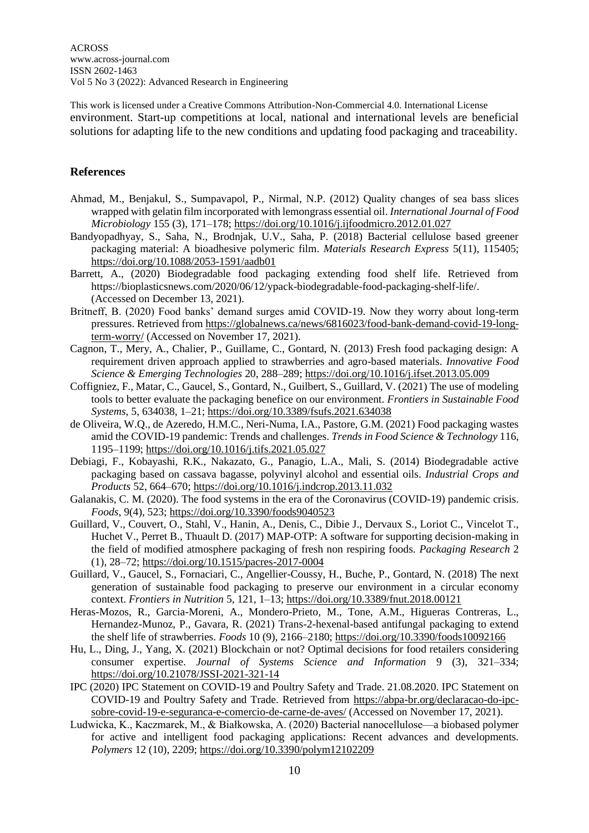This work is licensed under a Creative Commons Attribution-Non-Commercial 4.0. International License environment. Start-up competitions at local, national and international levels are beneficial solutions for adapting life to the new conditions and updating food packaging and traceability.

### **References**

- Ahmad, M., Benjakul, S., Sumpavapol, P., Nirmal, N.P. (2012) Quality changes of sea bass slices wrapped with gelatin film incorporated with lemongrass essential oil. *International Journal of Food Microbiology* 155 (3), 171–178[; https://doi.org/10.1016/j.ijfoodmicro.2012.01.027](https://doi.org/10.1016/j.ijfoodmicro.2012.01.027)
- Bandyopadhyay, S., Saha, N., Brodnjak, U.V., Saha, P. (2018) Bacterial cellulose based greener packaging material: A bioadhesive polymeric film. *Materials Research Express* 5(11), 115405; <https://doi.org/10.1088/2053-1591/aadb01>
- Barrett, A., (2020) Biodegradable food packaging extending food shelf life. Retrieved from https://bioplasticsnews.com/2020/06/12/ypack-biodegradable-food-packaging-shelf-life/. (Accessed on December 13, 2021).
- Britneff, B. (2020) Food banks' demand surges amid COVID-19. Now they worry about long-term pressures. Retrieved fro[m https://globalnews.ca/news/6816023/food-bank-demand-covid-19-long](https://globalnews.ca/news/6816023/food-bank-demand-covid-19-long-term-worry/)[term-worry/](https://globalnews.ca/news/6816023/food-bank-demand-covid-19-long-term-worry/) (Accessed on November 17, 2021).
- Cagnon, T., Mery, A., Chalier, P., Guillame, C., Gontard, N. (2013) Fresh food packaging design: A requirement driven approach applied to strawberries and agro-based materials. *Innovative Food Science & Emerging Technologies* 20, 288–289;<https://doi.org/10.1016/j.ifset.2013.05.009>
- Coffigniez, F., Matar, C., Gaucel, S., Gontard, N., Guilbert, S., Guillard, V. (2021) The use of modeling tools to better evaluate the packaging benefice on our environment. *Frontiers in Sustainable Food Systems*, 5, 634038, 1–21;<https://doi.org/10.3389/fsufs.2021.634038>
- de Oliveira, W.Q., de Azeredo, H.M.C., Neri-Numa, I.A., Pastore, G.M. (2021) Food packaging wastes amid the COVID-19 pandemic: Trends and challenges. *Trends in Food Science & Technology* 116, 1195–1199;<https://doi.org/10.1016/j.tifs.2021.05.027>
- Debiagi, F., Kobayashi, R.K., Nakazato, G., Panagio, L.A., Mali, S. (2014) Biodegradable active packaging based on cassava bagasse, polyvinyl alcohol and essential oils. *Industrial Crops and Products* 52, 664–670;<https://doi.org/10.1016/j.indcrop.2013.11.032>
- Galanakis, C. M. (2020). The food systems in the era of the Coronavirus (COVID-19) pandemic crisis. *Foods*, 9(4), 523;<https://doi.org/10.3390/foods9040523>
- Guillard, V., Couvert, O., Stahl, V., Hanin, A., Denis, C., Dibie J., Dervaux S., Loriot C., Vincelot T., Huchet V., Perret B., Thuault D. (2017) MAP-OTP: A software for supporting decision-making in the field of modified atmosphere packaging of fresh non respiring foods. *Packaging Research* 2 (1), 28–72;<https://doi.org/10.1515/pacres-2017-0004>
- Guillard, V., Gaucel, S., Fornaciari, C., Angellier-Coussy, H., Buche, P., Gontard, N. (2018) The next generation of sustainable food packaging to preserve our environment in a circular economy context. *Frontiers in Nutrition* 5, 121, 1–13[; https://doi.org/10.3389/fnut.2018.00121](https://doi.org/10.3389/fnut.2018.00121)
- Heras-Mozos, R., Garcia-Moreni, A., Mondero-Prieto, M., Tone, A.M., Higueras Contreras, L., Hernandez-Munoz, P., Gavara, R. (2021) Trans-2-hexenal-based antifungal packaging to extend the shelf life of strawberries. *Foods* 10 (9), 2166–2180[; https://doi.org/10.3390/foods10092166](https://doi.org/10.3390/foods10092166)
- Hu, L., Ding, J., Yang, X. (2021) Blockchain or not? Optimal decisions for food retailers considering consumer expertise. *Journal of Systems Science and Information* 9 (3), 321–334; <https://doi.org/10.21078/JSSI-2021-321-14>
- IPC (2020) IPC Statement on COVID-19 and Poultry Safety and Trade. 21.08.2020. IPC Statement on COVID-19 and Poultry Safety and Trade. Retrieved from [https://abpa-br.org/declaracao-do-ipc](https://abpa-br.org/declaracao-do-ipc-sobre-covid-19-e-seguranca-e-comercio-de-carne-de-aves/)[sobre-covid-19-e-seguranca-e-comercio-de-carne-de-aves/](https://abpa-br.org/declaracao-do-ipc-sobre-covid-19-e-seguranca-e-comercio-de-carne-de-aves/) (Accessed on November 17, 2021).
- Ludwicka, K., Kaczmarek, M., & Białkowska, A. (2020) Bacterial nanocellulose—a biobased polymer for active and intelligent food packaging applications: Recent advances and developments. *Polymers* 12 (10), 2209;<https://doi.org/10.3390/polym12102209>